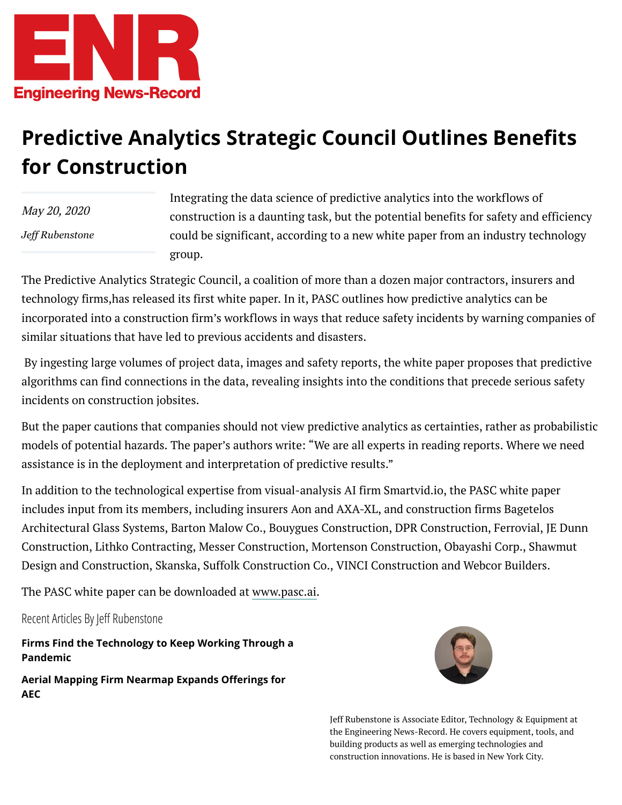

## **Predictive Analytics Strategic Council Outlines Benefits for Construction**

May 20, 2020 *[Jeff Rubenstone](https://www.enr.com/authors/53-jeff-rubenstone)*

Integrating the data science of predictive analytics into the workflows of construction is a daunting task, but the potential benefits for safety and efficiency could be significant, according to a new white paper from an industry technology group.

The Predictive Analytics Strategic Council, a coalition of more than a dozen major contractors, insurers and technology firms,has released its first white paper. In it, PASC outlines how predictive analytics can be incorporated into a construction firm's workflows in ways that reduce safety incidents by warning companies of similar situations that have led to previous accidents and disasters.

By ingesting large volumes of project data, images and safety reports, the white paper proposes that predictive algorithms can find connections in the data, revealing insights into the conditions that precede serious safety incidents on construction jobsites.

But the paper cautions that companies should not view predictive analytics as certainties, rather as probabilistic models of potential hazards. The paper's authors write: "We are all experts in reading reports. Where we need assistance is in the deployment and interpretation of predictive results."

In addition to the technological expertise from visual-analysis AI firm Smartvid.io, the PASC white paper includes input from its members, including insurers Aon and AXA-XL, and construction firms Bagetelos Architectural Glass Systems, Barton Malow Co., Bouygues Construction, DPR Construction, Ferrovial, JE Dunn Construction, Lithko Contracting, Messer Construction, Mortenson Construction, Obayashi Corp., Shawmut Design and Construction, Skanska, Suffolk Construction Co., VINCI Construction and Webcor Builders.

The PASC white paper can be downloaded at [www.pasc.ai.](https://pasc.ai/applying-predictive-analytics-in-construction/)

Recent Articles By Jeff Rubenstone

**[Firms Find the Technology to Keep Working Through a](https://www.enr.com/articles/49427-firms-find-the-technology-to-keep-working-through-a-pandemic) Pandemic**

**Aerial Mapping Firm Nearmap Expands Offerings for AEC**



Jeff Rubenstone is Associate Editor, Technology & Equipment at the Engineering News-Record. He covers equipment, tools, and building products as well as emerging technologies and construction innovations. He is based in New York City.